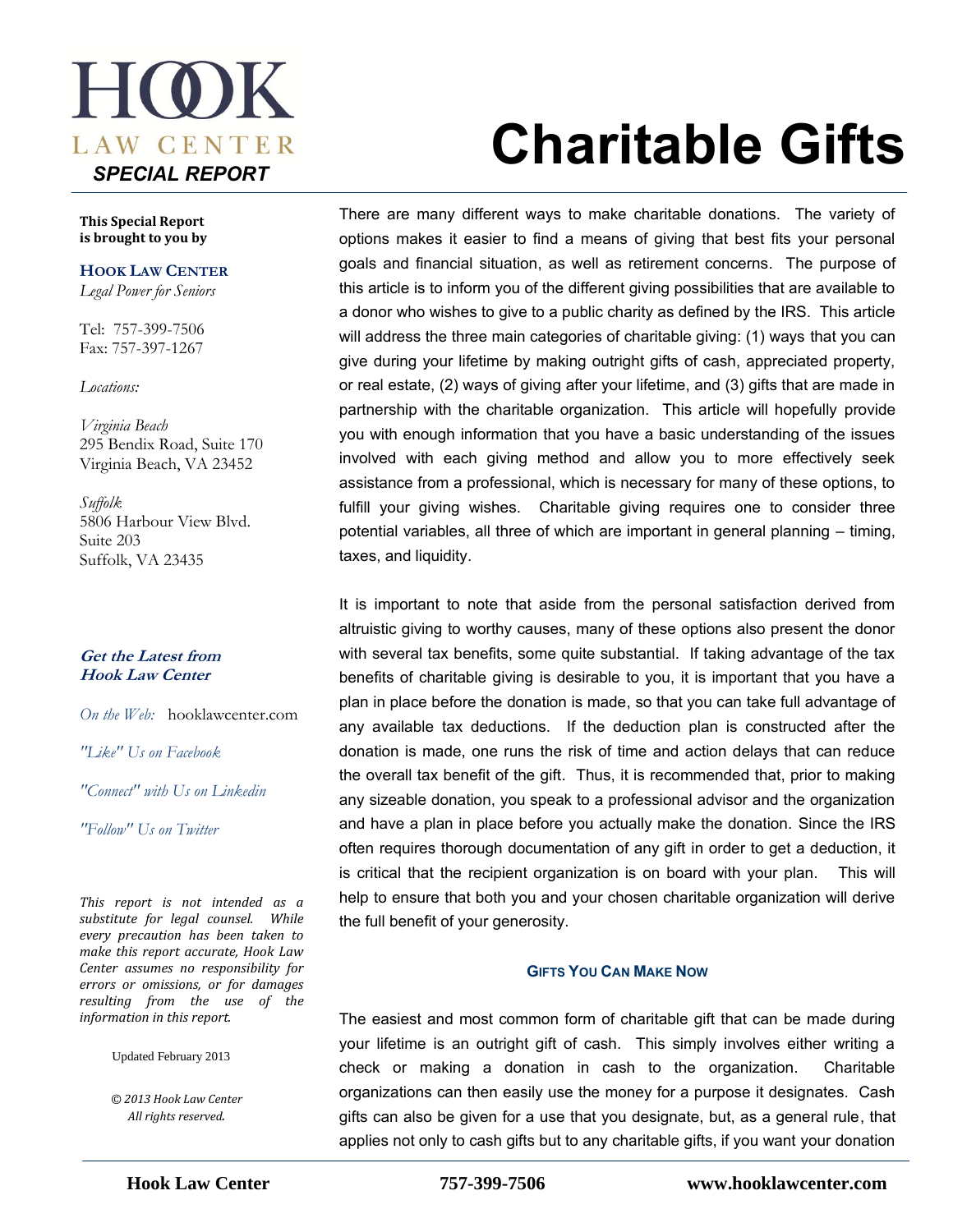

**This Special Report is brought to you by** 

#### **HOOK LAW CENTER**

*Legal Power for Seniors*

Tel: 757-399-7506 Fax: 757-397-1267

*Locations:*

*Virginia Beach* 295 Bendix Road, Suite 170 Virginia Beach, VA 23452

*Suffolk* 5806 Harbour View Blvd. Suite 203 Suffolk, VA 23435

#### **Get the Latest from Hook Law Center**

*On the Web:* [hooklawcenter.com](http://www.hooklawcenter.com/)

*"Like" Us on Facebook*

*"Connect" with Us on Linkedin*

*"Follow" Us on Twitter*

*This report is not intended as a substitute for legal counsel. While every precaution has been taken to make this report accurate, Hook Law Center assumes no responsibility for errors or omissions, or for damages resulting from the use of the information in this report.*

Updated February 2013

*© 2013 Hook Law Center All rights reserved.*

# **Charitable Gifts**

There are many different ways to make charitable donations. The variety of options makes it easier to find a means of giving that best fits your personal goals and financial situation, as well as retirement concerns. The purpose of this article is to inform you of the different giving possibilities that are available to a donor who wishes to give to a public charity as defined by the IRS. This article will address the three main categories of charitable giving: (1) ways that you can give during your lifetime by making outright gifts of cash, appreciated property, or real estate, (2) ways of giving after your lifetime, and (3) gifts that are made in partnership with the charitable organization. This article will hopefully provide you with enough information that you have a basic understanding of the issues involved with each giving method and allow you to more effectively seek assistance from a professional, which is necessary for many of these options, to fulfill your giving wishes. Charitable giving requires one to consider three potential variables, all three of which are important in general planning – timing, taxes, and liquidity.

It is important to note that aside from the personal satisfaction derived from altruistic giving to worthy causes, many of these options also present the donor with several tax benefits, some quite substantial. If taking advantage of the tax benefits of charitable giving is desirable to you, it is important that you have a plan in place before the donation is made, so that you can take full advantage of any available tax deductions. If the deduction plan is constructed after the donation is made, one runs the risk of time and action delays that can reduce the overall tax benefit of the gift. Thus, it is recommended that, prior to making any sizeable donation, you speak to a professional advisor and the organization and have a plan in place before you actually make the donation. Since the IRS often requires thorough documentation of any gift in order to get a deduction, it is critical that the recipient organization is on board with your plan. This will help to ensure that both you and your chosen charitable organization will derive the full benefit of your generosity.

#### **GIFTS YOU CAN MAKE NOW**

The easiest and most common form of charitable gift that can be made during your lifetime is an outright gift of cash. This simply involves either writing a check or making a donation in cash to the organization. Charitable organizations can then easily use the money for a purpose it designates. Cash gifts can also be given for a use that you designate, but, as a general rule, that applies not only to cash gifts but to any charitable gifts, if you want your donation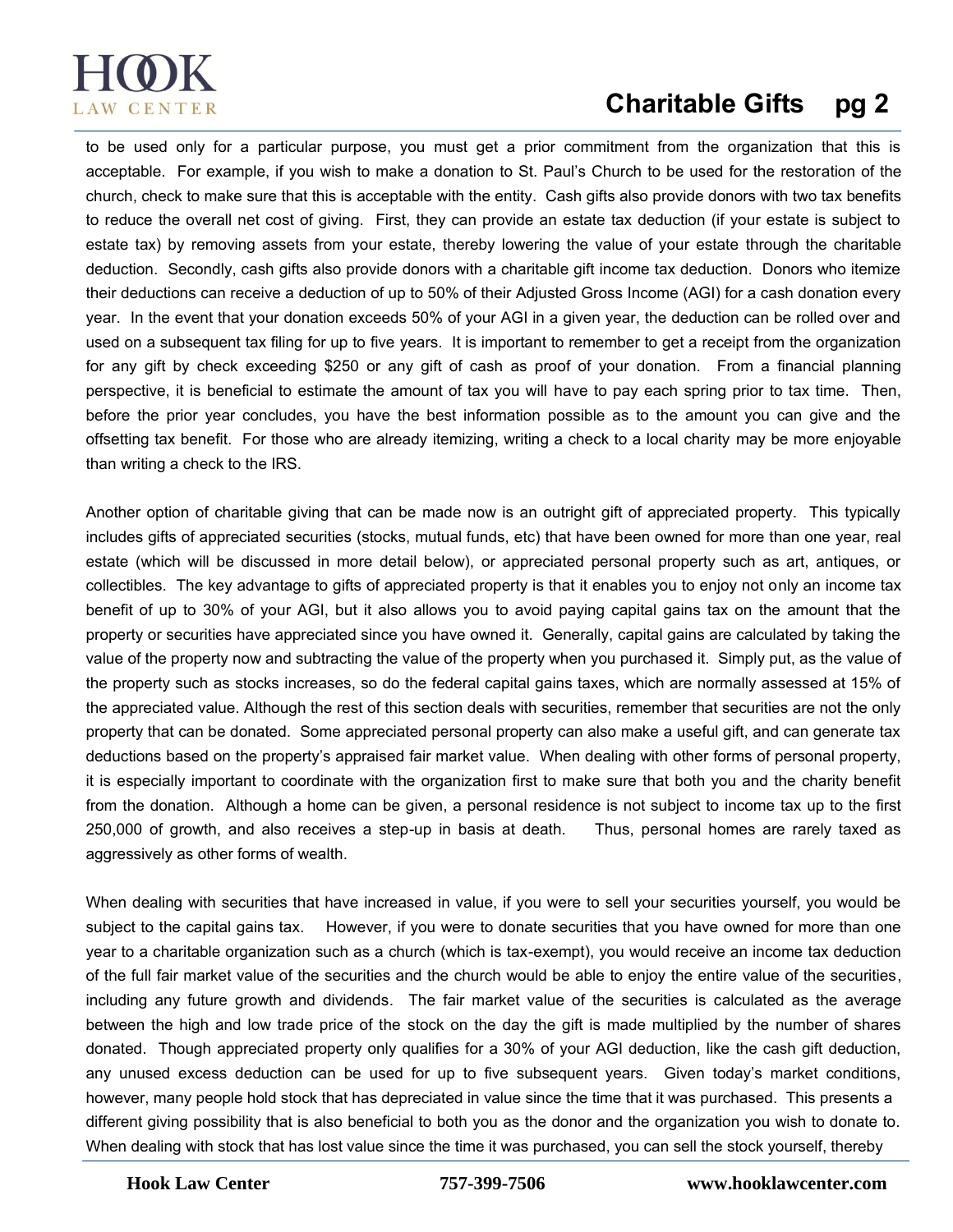# $H(0)K$ LAW CENTER

# **Charitable Gifts pg 2**

to be used only for a particular purpose, you must get a prior commitment from the organization that this is acceptable. For example, if you wish to make a donation to St. Paul's Church to be used for the restoration of the church, check to make sure that this is acceptable with the entity. Cash gifts also provide donors with two tax benefits to reduce the overall net cost of giving. First, they can provide an estate tax deduction (if your estate is subject to estate tax) by removing assets from your estate, thereby lowering the value of your estate through the charitable deduction. Secondly, cash gifts also provide donors with a charitable gift income tax deduction. Donors who itemize their deductions can receive a deduction of up to 50% of their Adjusted Gross Income (AGI) for a cash donation every year. In the event that your donation exceeds 50% of your AGI in a given year, the deduction can be rolled over and used on a subsequent tax filing for up to five years. It is important to remember to get a receipt from the organization for any gift by check exceeding \$250 or any gift of cash as proof of your donation. From a financial planning perspective, it is beneficial to estimate the amount of tax you will have to pay each spring prior to tax time. Then, before the prior year concludes, you have the best information possible as to the amount you can give and the offsetting tax benefit. For those who are already itemizing, writing a check to a local charity may be more enjoyable than writing a check to the IRS.

Another option of charitable giving that can be made now is an outright gift of appreciated property. This typically includes gifts of appreciated securities (stocks, mutual funds, etc) that have been owned for more than one year, real estate (which will be discussed in more detail below), or appreciated personal property such as art, antiques, or collectibles. The key advantage to gifts of appreciated property is that it enables you to enjoy not only an income tax benefit of up to 30% of your AGI, but it also allows you to avoid paying capital gains tax on the amount that the property or securities have appreciated since you have owned it. Generally, capital gains are calculated by taking the value of the property now and subtracting the value of the property when you purchased it. Simply put, as the value of the property such as stocks increases, so do the federal capital gains taxes, which are normally assessed at 15% of the appreciated value. Although the rest of this section deals with securities, remember that securities are not the only property that can be donated. Some appreciated personal property can also make a useful gift, and can generate tax deductions based on the property's appraised fair market value. When dealing with other forms of personal property, it is especially important to coordinate with the organization first to make sure that both you and the charity benefit from the donation. Although a home can be given, a personal residence is not subject to income tax up to the first 250,000 of growth, and also receives a step-up in basis at death. Thus, personal homes are rarely taxed as aggressively as other forms of wealth.

When dealing with securities that have increased in value, if you were to sell your securities yourself, you would be subject to the capital gains tax. However, if you were to donate securities that you have owned for more than one year to a charitable organization such as a church (which is tax-exempt), you would receive an income tax deduction of the full fair market value of the securities and the church would be able to enjoy the entire value of the securities, including any future growth and dividends. The fair market value of the securities is calculated as the average between the high and low trade price of the stock on the day the gift is made multiplied by the number of shares donated. Though appreciated property only qualifies for a 30% of your AGI deduction, like the cash gift deduction, any unused excess deduction can be used for up to five subsequent years. Given today's market conditions, however, many people hold stock that has depreciated in value since the time that it was purchased. This presents a different giving possibility that is also beneficial to both you as the donor and the organization you wish to donate to. When dealing with stock that has lost value since the time it was purchased, you can sell the stock yourself, thereby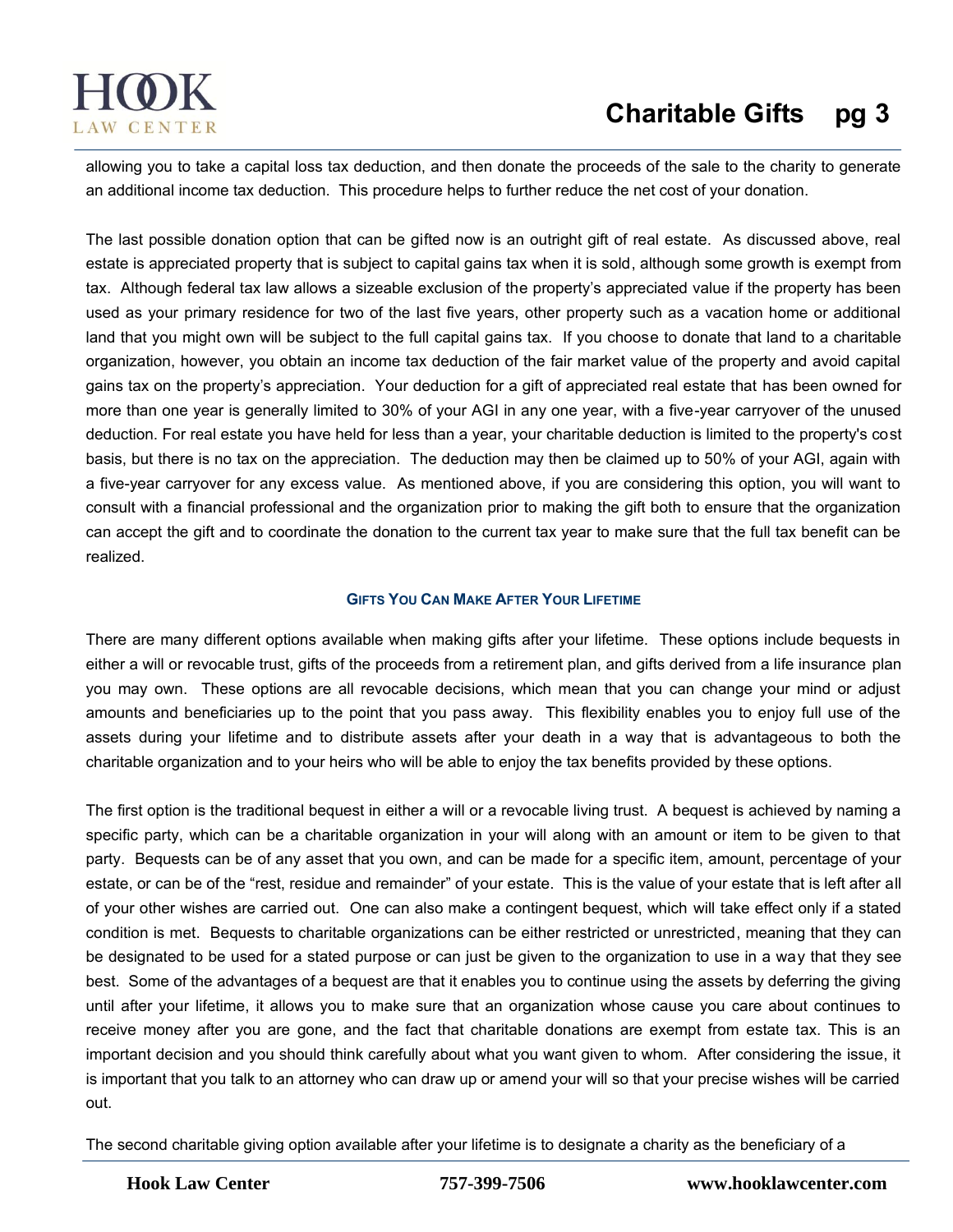

allowing you to take a capital loss tax deduction, and then donate the proceeds of the sale to the charity to generate an additional income tax deduction. This procedure helps to further reduce the net cost of your donation.

The last possible donation option that can be gifted now is an outright gift of real estate. As discussed above, real estate is appreciated property that is subject to capital gains tax when it is sold, although some growth is exempt from tax. Although federal tax law allows a sizeable exclusion of the property's appreciated value if the property has been used as your primary residence for two of the last five years, other property such as a vacation home or additional land that you might own will be subject to the full capital gains tax. If you choose to donate that land to a charitable organization, however, you obtain an income tax deduction of the fair market value of the property and avoid capital gains tax on the property's appreciation. Your deduction for a gift of appreciated real estate that has been owned for more than one year is generally limited to 30% of your AGI in any one year, with a five-year carryover of the unused deduction. For real estate you have held for less than a year, your charitable deduction is limited to the property's cost basis, but there is no tax on the appreciation. The deduction may then be claimed up to 50% of your AGI, again with a five-year carryover for any excess value. As mentioned above, if you are considering this option, you will want to consult with a financial professional and the organization prior to making the gift both to ensure that the organization can accept the gift and to coordinate the donation to the current tax year to make sure that the full tax benefit can be realized.

#### **GIFTS YOU CAN MAKE AFTER YOUR LIFETIME**

There are many different options available when making gifts after your lifetime. These options include bequests in either a will or revocable trust, gifts of the proceeds from a retirement plan, and gifts derived from a life insurance plan you may own. These options are all revocable decisions, which mean that you can change your mind or adjust amounts and beneficiaries up to the point that you pass away. This flexibility enables you to enjoy full use of the assets during your lifetime and to distribute assets after your death in a way that is advantageous to both the charitable organization and to your heirs who will be able to enjoy the tax benefits provided by these options.

The first option is the traditional bequest in either a will or a revocable living trust. A bequest is achieved by naming a specific party, which can be a charitable organization in your will along with an amount or item to be given to that party. Bequests can be of any asset that you own, and can be made for a specific item, amount, percentage of your estate, or can be of the "rest, residue and remainder" of your estate. This is the value of your estate that is left after all of your other wishes are carried out. One can also make a contingent bequest, which will take effect only if a stated condition is met. Bequests to charitable organizations can be either restricted or unrestricted, meaning that they can be designated to be used for a stated purpose or can just be given to the organization to use in a way that they see best. Some of the advantages of a bequest are that it enables you to continue using the assets by deferring the giving until after your lifetime, it allows you to make sure that an organization whose cause you care about continues to receive money after you are gone, and the fact that charitable donations are exempt from estate tax. This is an important decision and you should think carefully about what you want given to whom. After considering the issue, it is important that you talk to an attorney who can draw up or amend your will so that your precise wishes will be carried out.

The second charitable giving option available after your lifetime is to designate a charity as the beneficiary of a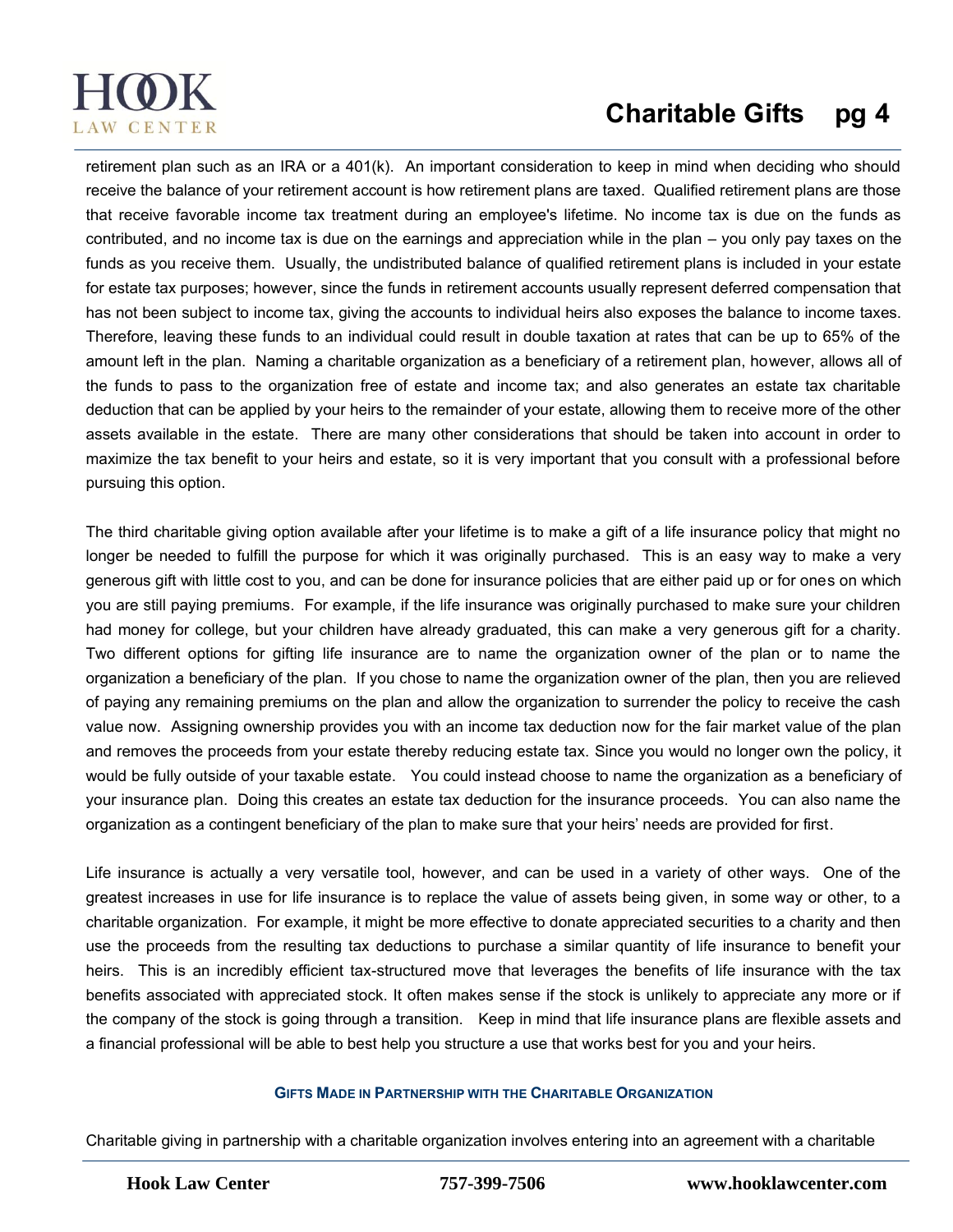

## **Charitable Gifts pg 4**

retirement plan such as an IRA or a 401(k). An important consideration to keep in mind when deciding who should receive the balance of your retirement account is how retirement plans are taxed. Qualified retirement plans are those that receive favorable income tax treatment during an employee's lifetime. No income tax is due on the funds as contributed, and no income tax is due on the earnings and appreciation while in the plan – you only pay taxes on the funds as you receive them. Usually, the undistributed balance of qualified retirement plans is included in your estate for estate tax purposes; however, since the funds in retirement accounts usually represent deferred compensation that has not been subject to income tax, giving the accounts to individual heirs also exposes the balance to income taxes. Therefore, leaving these funds to an individual could result in double taxation at rates that can be up to 65% of the amount left in the plan. Naming a charitable organization as a beneficiary of a retirement plan, however, allows all of the funds to pass to the organization free of estate and income tax; and also generates an estate tax charitable deduction that can be applied by your heirs to the remainder of your estate, allowing them to receive more of the other assets available in the estate. There are many other considerations that should be taken into account in order to maximize the tax benefit to your heirs and estate, so it is very important that you consult with a professional before pursuing this option.

The third charitable giving option available after your lifetime is to make a gift of a life insurance policy that might no longer be needed to fulfill the purpose for which it was originally purchased. This is an easy way to make a very generous gift with little cost to you, and can be done for insurance policies that are either paid up or for ones on which you are still paying premiums. For example, if the life insurance was originally purchased to make sure your children had money for college, but your children have already graduated, this can make a very generous gift for a charity. Two different options for gifting life insurance are to name the organization owner of the plan or to name the organization a beneficiary of the plan. If you chose to name the organization owner of the plan, then you are relieved of paying any remaining premiums on the plan and allow the organization to surrender the policy to receive the cash value now. Assigning ownership provides you with an income tax deduction now for the fair market value of the plan and removes the proceeds from your estate thereby reducing estate tax. Since you would no longer own the policy, it would be fully outside of your taxable estate. You could instead choose to name the organization as a beneficiary of your insurance plan. Doing this creates an estate tax deduction for the insurance proceeds. You can also name the organization as a contingent beneficiary of the plan to make sure that your heirs' needs are provided for first.

Life insurance is actually a very versatile tool, however, and can be used in a variety of other ways. One of the greatest increases in use for life insurance is to replace the value of assets being given, in some way or other, to a charitable organization. For example, it might be more effective to donate appreciated securities to a charity and then use the proceeds from the resulting tax deductions to purchase a similar quantity of life insurance to benefit your heirs. This is an incredibly efficient tax-structured move that leverages the benefits of life insurance with the tax benefits associated with appreciated stock. It often makes sense if the stock is unlikely to appreciate any more or if the company of the stock is going through a transition. Keep in mind that life insurance plans are flexible assets and a financial professional will be able to best help you structure a use that works best for you and your heirs.

#### **GIFTS MADE IN PARTNERSHIP WITH THE CHARITABLE ORGANIZATION**

Charitable giving in partnership with a charitable organization involves entering into an agreement with a charitable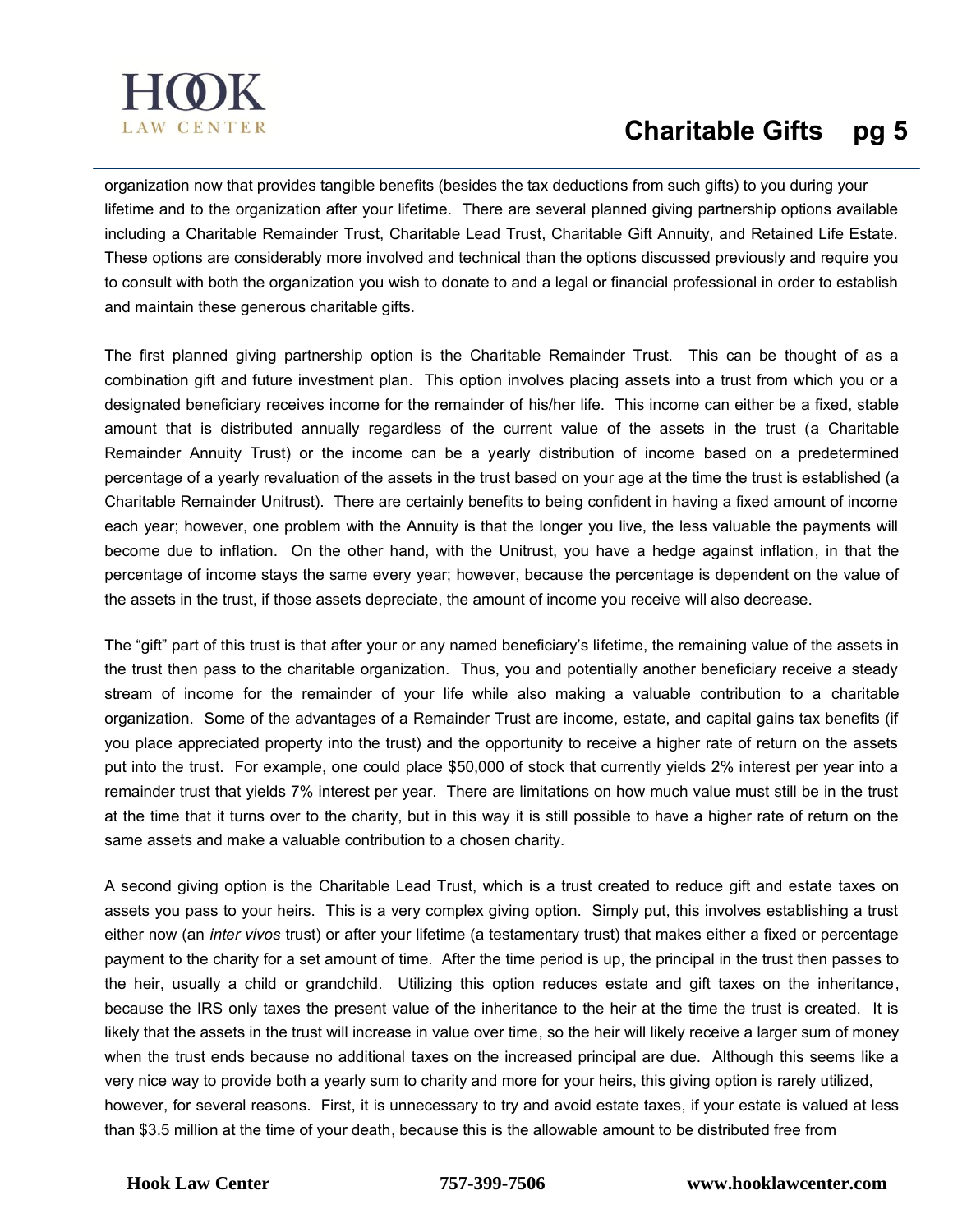

### **Charitable Gifts pg 5**

organization now that provides tangible benefits (besides the tax deductions from such gifts) to you during your lifetime and to the organization after your lifetime. There are several planned giving partnership options available including a Charitable Remainder Trust, Charitable Lead Trust, Charitable Gift Annuity, and Retained Life Estate. These options are considerably more involved and technical than the options discussed previously and require you to consult with both the organization you wish to donate to and a legal or financial professional in order to establish and maintain these generous charitable gifts.

The first planned giving partnership option is the Charitable Remainder Trust. This can be thought of as a combination gift and future investment plan. This option involves placing assets into a trust from which you or a designated beneficiary receives income for the remainder of his/her life. This income can either be a fixed, stable amount that is distributed annually regardless of the current value of the assets in the trust (a Charitable Remainder Annuity Trust) or the income can be a yearly distribution of income based on a predetermined percentage of a yearly revaluation of the assets in the trust based on your age at the time the trust is established (a Charitable Remainder Unitrust). There are certainly benefits to being confident in having a fixed amount of income each year; however, one problem with the Annuity is that the longer you live, the less valuable the payments will become due to inflation. On the other hand, with the Unitrust, you have a hedge against inflation, in that the percentage of income stays the same every year; however, because the percentage is dependent on the value of the assets in the trust, if those assets depreciate, the amount of income you receive will also decrease.

The "gift" part of this trust is that after your or any named beneficiary's lifetime, the remaining value of the assets in the trust then pass to the charitable organization. Thus, you and potentially another beneficiary receive a steady stream of income for the remainder of your life while also making a valuable contribution to a charitable organization. Some of the advantages of a Remainder Trust are income, estate, and capital gains tax benefits (if you place appreciated property into the trust) and the opportunity to receive a higher rate of return on the assets put into the trust. For example, one could place \$50,000 of stock that currently yields 2% interest per year into a remainder trust that yields 7% interest per year. There are limitations on how much value must still be in the trust at the time that it turns over to the charity, but in this way it is still possible to have a higher rate of return on the same assets and make a valuable contribution to a chosen charity.

A second giving option is the Charitable Lead Trust, which is a trust created to reduce gift and estate taxes on assets you pass to your heirs. This is a very complex giving option. Simply put, this involves establishing a trust either now (an *inter vivos* trust) or after your lifetime (a testamentary trust) that makes either a fixed or percentage payment to the charity for a set amount of time. After the time period is up, the principal in the trust then passes to the heir, usually a child or grandchild. Utilizing this option reduces estate and gift taxes on the inheritance, because the IRS only taxes the present value of the inheritance to the heir at the time the trust is created. It is likely that the assets in the trust will increase in value over time, so the heir will likely receive a larger sum of money when the trust ends because no additional taxes on the increased principal are due. Although this seems like a very nice way to provide both a yearly sum to charity and more for your heirs, this giving option is rarely utilized, however, for several reasons. First, it is unnecessary to try and avoid estate taxes, if your estate is valued at less than \$3.5 million at the time of your death, because this is the allowable amount to be distributed free from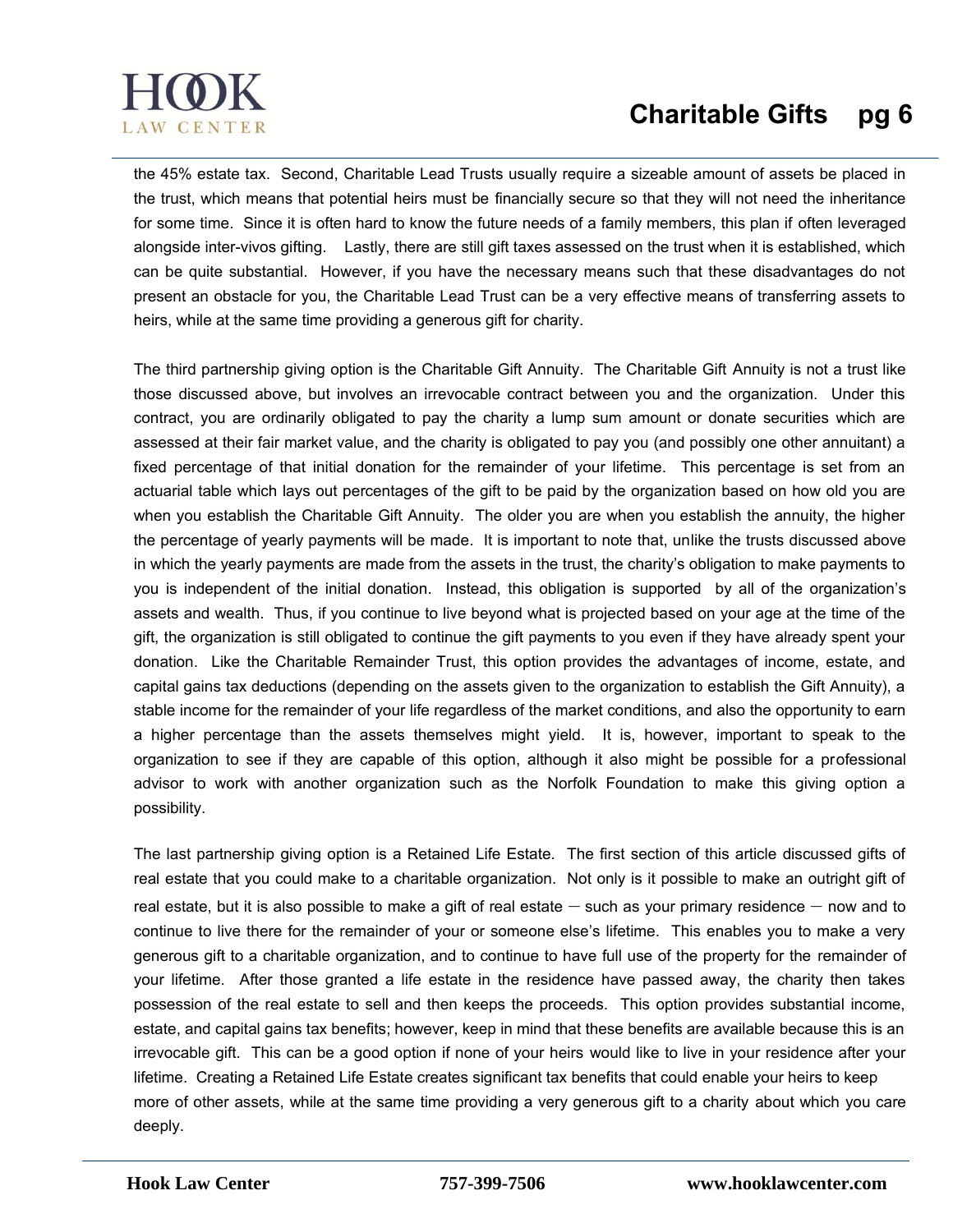



the 45% estate tax. Second, Charitable Lead Trusts usually require a sizeable amount of assets be placed in the trust, which means that potential heirs must be financially secure so that they will not need the inheritance for some time. Since it is often hard to know the future needs of a family members, this plan if often leveraged alongside inter-vivos gifting. Lastly, there are still gift taxes assessed on the trust when it is established, which can be quite substantial. However, if you have the necessary means such that these disadvantages do not present an obstacle for you, the Charitable Lead Trust can be a very effective means of transferring assets to heirs, while at the same time providing a generous gift for charity.

The third partnership giving option is the Charitable Gift Annuity. The Charitable Gift Annuity is not a trust like those discussed above, but involves an irrevocable contract between you and the organization. Under this contract, you are ordinarily obligated to pay the charity a lump sum amount or donate securities which are assessed at their fair market value, and the charity is obligated to pay you (and possibly one other annuitant) a fixed percentage of that initial donation for the remainder of your lifetime. This percentage is set from an actuarial table which lays out percentages of the gift to be paid by the organization based on how old you are when you establish the Charitable Gift Annuity. The older you are when you establish the annuity, the higher the percentage of yearly payments will be made. It is important to note that, unlike the trusts discussed above in which the yearly payments are made from the assets in the trust, the charity's obligation to make payments to you is independent of the initial donation. Instead, this obligation is supported by all of the organization's assets and wealth. Thus, if you continue to live beyond what is projected based on your age at the time of the gift, the organization is still obligated to continue the gift payments to you even if they have already spent your donation. Like the Charitable Remainder Trust, this option provides the advantages of income, estate, and capital gains tax deductions (depending on the assets given to the organization to establish the Gift Annuity), a stable income for the remainder of your life regardless of the market conditions, and also the opportunity to earn a higher percentage than the assets themselves might yield. It is, however, important to speak to the organization to see if they are capable of this option, although it also might be possible for a professional advisor to work with another organization such as the Norfolk Foundation to make this giving option a possibility.

The last partnership giving option is a Retained Life Estate. The first section of this article discussed gifts of real estate that you could make to a charitable organization. Not only is it possible to make an outright gift of real estate, but it is also possible to make a gift of real estate  $-$  such as your primary residence  $-$  now and to continue to live there for the remainder of your or someone else's lifetime. This enables you to make a very generous gift to a charitable organization, and to continue to have full use of the property for the remainder of your lifetime. After those granted a life estate in the residence have passed away, the charity then takes possession of the real estate to sell and then keeps the proceeds. This option provides substantial income, estate, and capital gains tax benefits; however, keep in mind that these benefits are available because this is an irrevocable gift. This can be a good option if none of your heirs would like to live in your residence after your lifetime. Creating a Retained Life Estate creates significant tax benefits that could enable your heirs to keep more of other assets, while at the same time providing a very generous gift to a charity about which you care deeply.